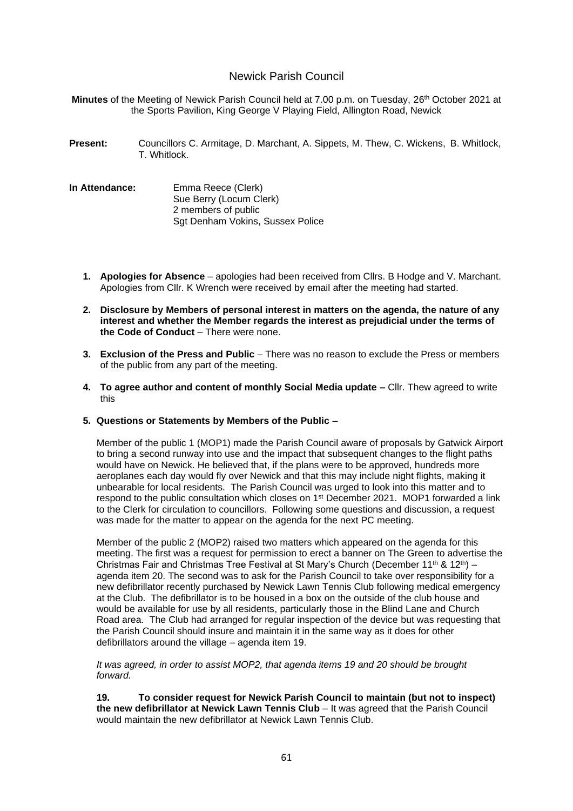# Newick Parish Council

**Minutes** of the Meeting of Newick Parish Council held at 7.00 p.m. on Tuesday, 26th October 2021 at the Sports Pavilion, King George V Playing Field, Allington Road, Newick

- **Present:** Councillors C. Armitage, D. Marchant, A. Sippets, M. Thew, C. Wickens, B. Whitlock, T. Whitlock.
- **In Attendance:** Emma Reece (Clerk) Sue Berry (Locum Clerk) 2 members of public Sgt Denham Vokins, Sussex Police
	- **1. Apologies for Absence** apologies had been received from Cllrs. B Hodge and V. Marchant. Apologies from Cllr. K Wrench were received by email after the meeting had started.
	- **2. Disclosure by Members of personal interest in matters on the agenda, the nature of any interest and whether the Member regards the interest as prejudicial under the terms of the Code of Conduct** – There were none.
	- **3. Exclusion of the Press and Public** There was no reason to exclude the Press or members of the public from any part of the meeting.
	- **4. To agree author and content of monthly Social Media update –** Cllr. Thew agreed to write this

#### **5. Questions or Statements by Members of the Public** –

Member of the public 1 (MOP1) made the Parish Council aware of proposals by Gatwick Airport to bring a second runway into use and the impact that subsequent changes to the flight paths would have on Newick. He believed that, if the plans were to be approved, hundreds more aeroplanes each day would fly over Newick and that this may include night flights, making it unbearable for local residents. The Parish Council was urged to look into this matter and to respond to the public consultation which closes on 1st December 2021. MOP1 forwarded a link to the Clerk for circulation to councillors. Following some questions and discussion, a request was made for the matter to appear on the agenda for the next PC meeting.

Member of the public 2 (MOP2) raised two matters which appeared on the agenda for this meeting. The first was a request for permission to erect a banner on The Green to advertise the Christmas Fair and Christmas Tree Festival at St Mary's Church (December 11<sup>th</sup> & 12<sup>th</sup>) – agenda item 20. The second was to ask for the Parish Council to take over responsibility for a new defibrillator recently purchased by Newick Lawn Tennis Club following medical emergency at the Club. The defibrillator is to be housed in a box on the outside of the club house and would be available for use by all residents, particularly those in the Blind Lane and Church Road area. The Club had arranged for regular inspection of the device but was requesting that the Parish Council should insure and maintain it in the same way as it does for other defibrillators around the village – agenda item 19.

*It was agreed, in order to assist MOP2, that agenda items 19 and 20 should be brought forward.*

**19. To consider request for Newick Parish Council to maintain (but not to inspect) the new defibrillator at Newick Lawn Tennis Club** – It was agreed that the Parish Council would maintain the new defibrillator at Newick Lawn Tennis Club.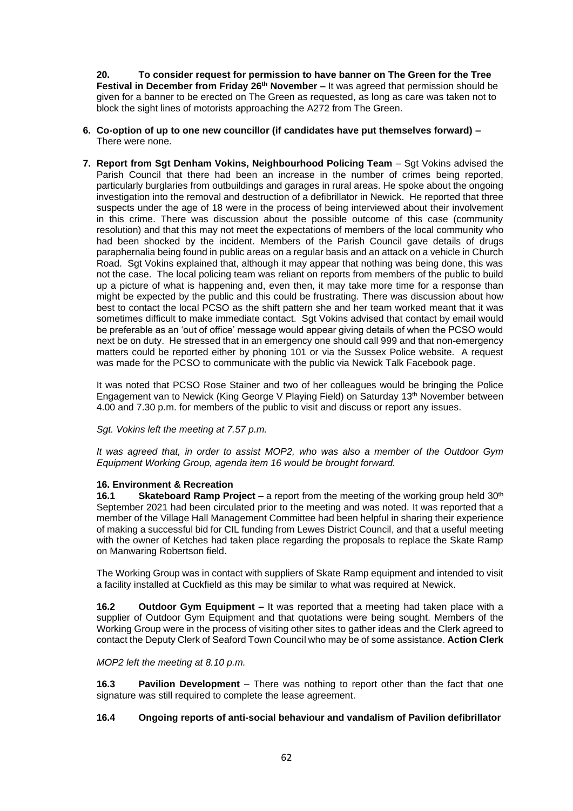**20. To consider request for permission to have banner on The Green for the Tree Festival in December from Friday 26th November –** It was agreed that permission should be given for a banner to be erected on The Green as requested, as long as care was taken not to block the sight lines of motorists approaching the A272 from The Green.

- **6. Co-option of up to one new councillor (if candidates have put themselves forward) –** There were none.
- **7. Report from Sgt Denham Vokins, Neighbourhood Policing Team** Sgt Vokins advised the Parish Council that there had been an increase in the number of crimes being reported, particularly burglaries from outbuildings and garages in rural areas. He spoke about the ongoing investigation into the removal and destruction of a defibrillator in Newick. He reported that three suspects under the age of 18 were in the process of being interviewed about their involvement in this crime. There was discussion about the possible outcome of this case (community resolution) and that this may not meet the expectations of members of the local community who had been shocked by the incident. Members of the Parish Council gave details of drugs paraphernalia being found in public areas on a regular basis and an attack on a vehicle in Church Road. Sgt Vokins explained that, although it may appear that nothing was being done, this was not the case. The local policing team was reliant on reports from members of the public to build up a picture of what is happening and, even then, it may take more time for a response than might be expected by the public and this could be frustrating. There was discussion about how best to contact the local PCSO as the shift pattern she and her team worked meant that it was sometimes difficult to make immediate contact. Sqt Vokins advised that contact by email would be preferable as an 'out of office' message would appear giving details of when the PCSO would next be on duty. He stressed that in an emergency one should call 999 and that non-emergency matters could be reported either by phoning 101 or via the Sussex Police website. A request was made for the PCSO to communicate with the public via Newick Talk Facebook page.

It was noted that PCSO Rose Stainer and two of her colleagues would be bringing the Police Engagement van to Newick (King George V Playing Field) on Saturday 13th November between 4.00 and 7.30 p.m. for members of the public to visit and discuss or report any issues.

*Sgt. Vokins left the meeting at 7.57 p.m.*

*It was agreed that, in order to assist MOP2, who was also a member of the Outdoor Gym Equipment Working Group, agenda item 16 would be brought forward.*

## **16. Environment & Recreation**

**16.1 Skateboard Ramp Project** – a report from the meeting of the working group held 30<sup>th</sup> September 2021 had been circulated prior to the meeting and was noted. It was reported that a member of the Village Hall Management Committee had been helpful in sharing their experience of making a successful bid for CIL funding from Lewes District Council, and that a useful meeting with the owner of Ketches had taken place regarding the proposals to replace the Skate Ramp on Manwaring Robertson field.

The Working Group was in contact with suppliers of Skate Ramp equipment and intended to visit a facility installed at Cuckfield as this may be similar to what was required at Newick.

**16.2 Outdoor Gym Equipment –** It was reported that a meeting had taken place with a supplier of Outdoor Gym Equipment and that quotations were being sought. Members of the Working Group were in the process of visiting other sites to gather ideas and the Clerk agreed to contact the Deputy Clerk of Seaford Town Council who may be of some assistance. **Action Clerk**

*MOP2 left the meeting at 8.10 p.m.*

**16.3 Pavilion Development** – There was nothing to report other than the fact that one signature was still required to complete the lease agreement.

## **16.4 Ongoing reports of anti-social behaviour and vandalism of Pavilion defibrillator**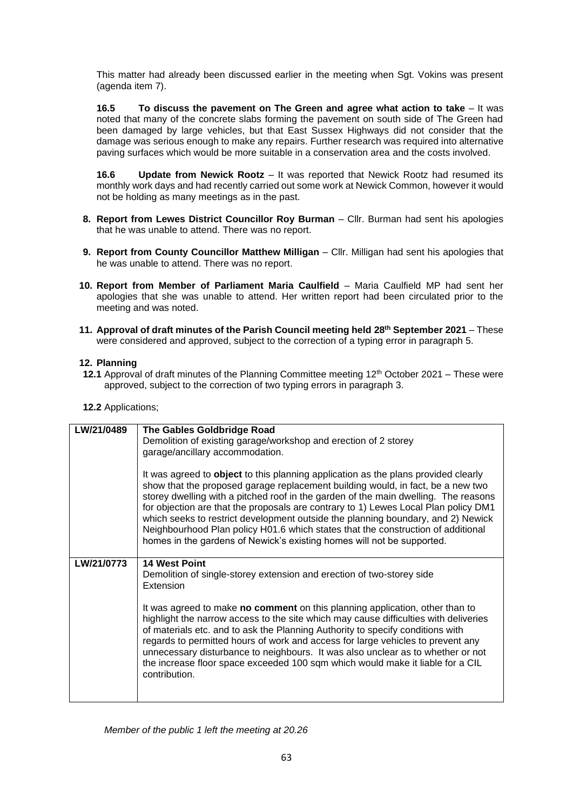This matter had already been discussed earlier in the meeting when Sgt. Vokins was present (agenda item 7).

**16.5 To discuss the pavement on The Green and agree what action to take** – It was noted that many of the concrete slabs forming the pavement on south side of The Green had been damaged by large vehicles, but that East Sussex Highways did not consider that the damage was serious enough to make any repairs. Further research was required into alternative paving surfaces which would be more suitable in a conservation area and the costs involved.

**16.6 Update from Newick Rootz** – It was reported that Newick Rootz had resumed its monthly work days and had recently carried out some work at Newick Common, however it would not be holding as many meetings as in the past.

- **8. Report from Lewes District Councillor Roy Burman** Cllr. Burman had sent his apologies that he was unable to attend. There was no report.
- **9. Report from County Councillor Matthew Milligan**  Cllr. Milligan had sent his apologies that he was unable to attend. There was no report.
- **10. Report from Member of Parliament Maria Caulfield**  Maria Caulfield MP had sent her apologies that she was unable to attend. Her written report had been circulated prior to the meeting and was noted.
- **11. Approval of draft minutes of the Parish Council meeting held 28th September 2021** These were considered and approved, subject to the correction of a typing error in paragraph 5.

## **12. Planning**

- 12.1 Approval of draft minutes of the Planning Committee meeting 12<sup>th</sup> October 2021 These were approved, subject to the correction of two typing errors in paragraph 3.
- **12.2** Applications;

| LW/21/0489 | The Gables Goldbridge Road<br>Demolition of existing garage/workshop and erection of 2 storey<br>garage/ancillary accommodation.<br>It was agreed to object to this planning application as the plans provided clearly<br>show that the proposed garage replacement building would, in fact, be a new two<br>storey dwelling with a pitched roof in the garden of the main dwelling. The reasons<br>for objection are that the proposals are contrary to 1) Lewes Local Plan policy DM1                                         |
|------------|---------------------------------------------------------------------------------------------------------------------------------------------------------------------------------------------------------------------------------------------------------------------------------------------------------------------------------------------------------------------------------------------------------------------------------------------------------------------------------------------------------------------------------|
|            | which seeks to restrict development outside the planning boundary, and 2) Newick<br>Neighbourhood Plan policy H01.6 which states that the construction of additional<br>homes in the gardens of Newick's existing homes will not be supported.                                                                                                                                                                                                                                                                                  |
| LW/21/0773 | <b>14 West Point</b><br>Demolition of single-storey extension and erection of two-storey side<br>Extension                                                                                                                                                                                                                                                                                                                                                                                                                      |
|            | It was agreed to make no comment on this planning application, other than to<br>highlight the narrow access to the site which may cause difficulties with deliveries<br>of materials etc. and to ask the Planning Authority to specify conditions with<br>regards to permitted hours of work and access for large vehicles to prevent any<br>unnecessary disturbance to neighbours. It was also unclear as to whether or not<br>the increase floor space exceeded 100 sqm which would make it liable for a CIL<br>contribution. |

*Member of the public 1 left the meeting at 20.26*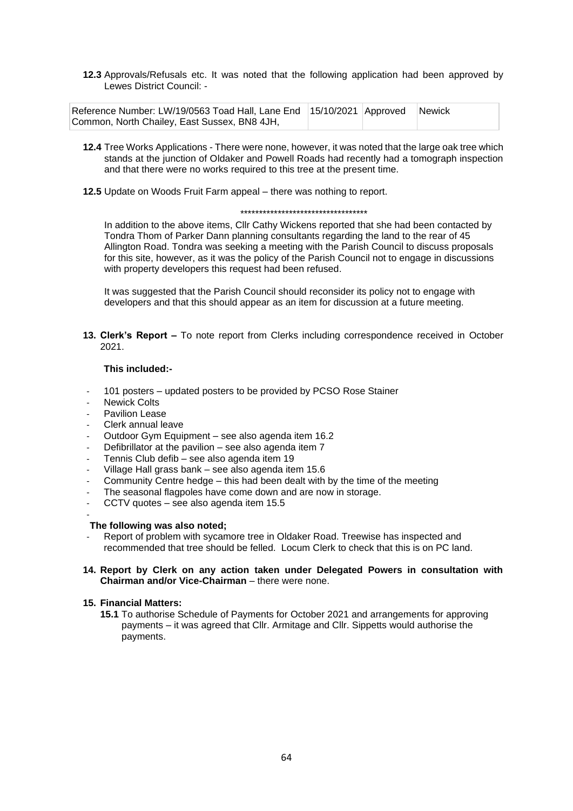**12.3** Approvals/Refusals etc. It was noted that the following application had been approved by Lewes District Council: -

| Reference Number: LW/19/0563 Toad Hall, Lane End   15/10/2021 Approved Newick |  |  |
|-------------------------------------------------------------------------------|--|--|
| Common, North Chailey, East Sussex, BN8 4JH,                                  |  |  |

- **12.4** Tree Works Applications There were none, however, it was noted that the large oak tree which stands at the junction of Oldaker and Powell Roads had recently had a tomograph inspection and that there were no works required to this tree at the present time.
- **12.5** Update on Woods Fruit Farm appeal there was nothing to report.

#### \*\*\*\*\*\*\*\*\*\*\*\*\*\*\*\*\*\*\*\*\*\*\*\*\*\*\*\*\*\*\*\*\*\*

In addition to the above items, Cllr Cathy Wickens reported that she had been contacted by Tondra Thom of Parker Dann planning consultants regarding the land to the rear of 45 Allington Road. Tondra was seeking a meeting with the Parish Council to discuss proposals for this site, however, as it was the policy of the Parish Council not to engage in discussions with property developers this request had been refused.

It was suggested that the Parish Council should reconsider its policy not to engage with developers and that this should appear as an item for discussion at a future meeting.

**13. Clerk's Report –** To note report from Clerks including correspondence received in October 2021.

#### **This included:-**

- 101 posters updated posters to be provided by PCSO Rose Stainer
- **Newick Colts**
- Pavilion Lease
- Clerk annual leave
- Outdoor Gym Equipment see also agenda item 16.2
- Defibrillator at the pavilion see also agenda item 7
- Tennis Club defib see also agenda item 19
- Village Hall grass bank see also agenda item 15.6
- Community Centre hedge this had been dealt with by the time of the meeting
- The seasonal flagpoles have come down and are now in storage.
- CCTV quotes see also agenda item 15.5

#### -

## **The following was also noted;**

- Report of problem with sycamore tree in Oldaker Road. Treewise has inspected and recommended that tree should be felled. Locum Clerk to check that this is on PC land.
- **14. Report by Clerk on any action taken under Delegated Powers in consultation with Chairman and/or Vice-Chairman** – there were none.

#### **15. Financial Matters:**

**15.1** To authorise Schedule of Payments for October 2021 and arrangements for approving payments – it was agreed that Cllr. Armitage and Cllr. Sippetts would authorise the payments.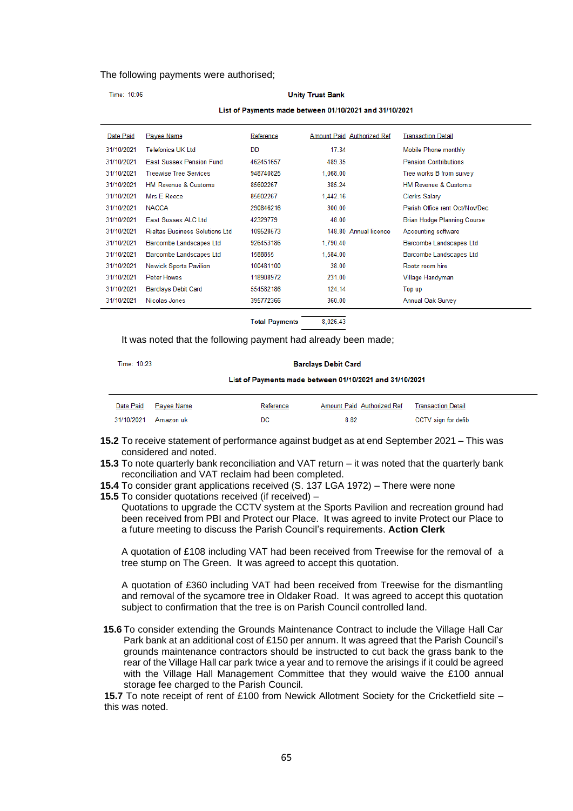#### The following payments were authorised;

#### Time: 10:06 **Unity Trust Bank** List of Payments made between 01/10/2021 and 31/10/2021 Date Paid Payee Name Reference Amount Paid Authorized Ref **Transaction Detail** 31/10/2021 Telefonica UK Ltd **DD** 17.34 Mobile Phone monthly 31/10/2021 East Sussex Pension Fund 462451657 489.35 **Pension Contributions** 31/10/2021 Treewise Tree Services 948740825 1,068.00 Tree works B from survey 31/10/2021 HM Revenue & Customs 85602267 385.24 HM Revenue & Customs 31/10/2021 Mrs E Reece 85602267 1 4 4 2 16 Clerks Salary 31/10/2021 NACCA 290846216 300.00 Parish Office rent Oct/Nov/Dec 31/10/2021 Fast Sussex ALC Ltd. 42329779 48.00 Brian Hodge Planning Course 31/10/2021 Rialtas Business Solutions Ltd 109528573 148.80 Annual licence Accounting software 31/10/2021 Barcombe Landscapes Ltd 926453186 1.790.40 Barcombe Landscapes Ltd 31/10/2021 Barcombe Landscapes Ltd 1588855 1.584.00 **Barcombe Landscapes Ltd** 31/10/2021 **Newick Sports Pavilion** 100481100 38.00 Rootz room hire 31/10/2021 Peter Howes 118908972 231.00 Village Handyman 31/10/2021 Barclays Debit Card 554582186 124.14 Top up 31/10/2021 Nicolas Jones 395772366 360.00 Annual Oak Survey

**Total Payments** 8.026.43

It was noted that the following payment had already been made;

Time: 10:23

**Barclays Debit Card** 

List of Payments made between 01/10/2021 and 31/10/2021

| Date Paid Payee Name | Reference | Amount Paid Authorized Ref | Transaction Detail  |
|----------------------|-----------|----------------------------|---------------------|
| 31/10/2021 Amazon uk | DC        | 8.82                       | CCTV sign for defib |

- **15.2** To receive statement of performance against budget as at end September 2021 This was considered and noted.
- **15.3** To note quarterly bank reconciliation and VAT return it was noted that the quarterly bank reconciliation and VAT reclaim had been completed.
- **15.4** To consider grant applications received (S. 137 LGA 1972) There were none
- **15.5** To consider quotations received (if received) –

Quotations to upgrade the CCTV system at the Sports Pavilion and recreation ground had been received from PBI and Protect our Place. It was agreed to invite Protect our Place to a future meeting to discuss the Parish Council's requirements. **Action Clerk**

A quotation of £108 including VAT had been received from Treewise for the removal of a tree stump on The Green. It was agreed to accept this quotation.

A quotation of £360 including VAT had been received from Treewise for the dismantling and removal of the sycamore tree in Oldaker Road. It was agreed to accept this quotation subject to confirmation that the tree is on Parish Council controlled land.

**15.6** To consider extending the Grounds Maintenance Contract to include the Village Hall Car Park bank at an additional cost of £150 per annum. It was agreed that the Parish Council's grounds maintenance contractors should be instructed to cut back the grass bank to the rear of the Village Hall car park twice a year and to remove the arisings if it could be agreed with the Village Hall Management Committee that they would waive the £100 annual storage fee charged to the Parish Council.

**15.7** To note receipt of rent of £100 from Newick Allotment Society for the Cricketfield site – this was noted.